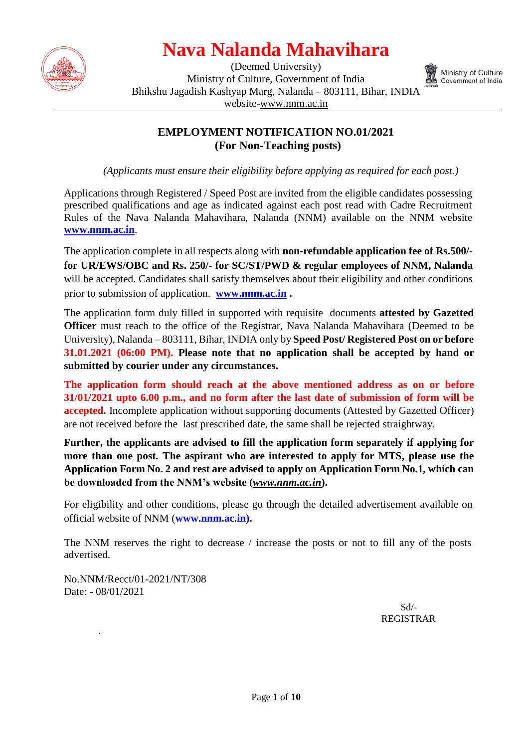

(Deemed University) Ministry of Culture, Government of India Bhikshu Jagadish Kashyap Marg, Nalanda – 803111, Bihar, INDIA website[-www.nnm.ac.in](http://www.nnm.ac.in/)



Ministry of Culture Government of India

#### **EMPLOYMENT NOTIFICATION NO.01/2021 (For Non-Teaching posts)**

*(Applicants must ensure their eligibility before applying as required for each post.)*

Applications through Registered / Speed Post are invited from the eligible candidates possessing prescribed qualifications and age as indicated against each post read with Cadre Recruitment Rules of the Nava Nalanda Mahavihara, Nalanda (NNM) available on the NNM website **[www.nnm.ac.in](http://www.nnm.ac.in/)**.

The application complete in all respects along with **non-refundable application fee of Rs.500/ for UR/EWS/OBC and Rs. 250/- for SC/ST/PWD & regular employees of NNM, Nalanda** will be accepted. Candidates shall satisfy themselves about their eligibility and other conditions prior to submission of application. **[www.nnm.ac.in](http://www.cujammu.ac.in/) .** 

The application form duly filled in supported with requisite documents **attested by Gazetted Officer** must reach to the office of the Registrar, Nava Nalanda Mahavihara (Deemed to be University), Nalanda – 803111, Bihar, INDIA only by **Speed Post/ Registered Post on or before 31.01.2021 (06:00 PM). Please note that no application shall be accepted by hand or submitted by courier under any circumstances.**

**The application form should reach at the above mentioned address as on or before 31/01/2021 upto 6.00 p.m., and no form after the last date of submission of form will be accepted.** Incomplete application without supporting documents (Attested by Gazetted Officer) are not received before the last prescribed date, the same shall be rejected straightway.

**Further, the applicants are advised to fill the application form separately if applying for more than one post. The aspirant who are interested to apply for MTS, please use the Application Form No. 2 and rest are advised to apply on Application Form No.1, which can be downloaded from the NNM's website (***www.nnm.ac.in***).**

For eligibility and other conditions, please go through the detailed advertisement available on official website of NNM (**[www.nnm.ac.in\)](http://www.cujammu.ac.in/).**

The NNM reserves the right to decrease / increase the posts or not to fill any of the posts advertised.

No.NNM/Recct/01-2021/NT/308 Date: - 08/01/2021

.

 Sd/- REGISTRAR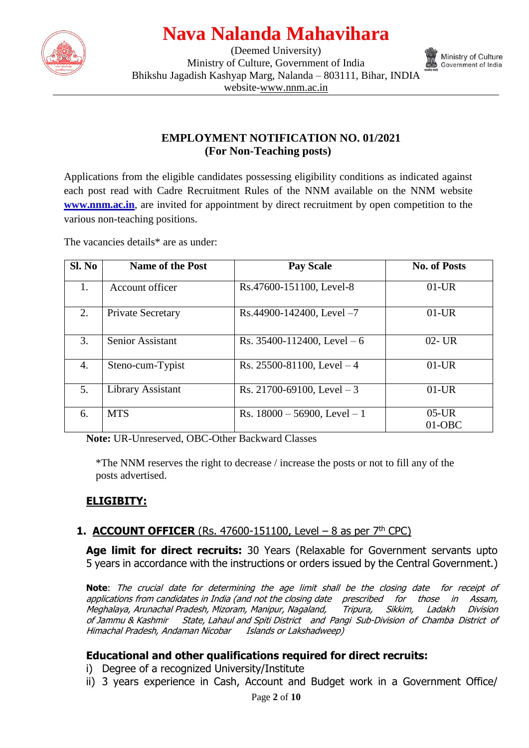

(Deemed University) Ministry of Culture, Government of India Bhikshu Jagadish Kashyap Marg, Nalanda – 803111, Bihar, INDIA website[-www.nnm.ac.in](http://www.nnm.ac.in/)



#### **EMPLOYMENT NOTIFICATION NO. 01/2021 (For Non-Teaching posts)**

Applications from the eligible candidates possessing eligibility conditions as indicated against each post read with Cadre Recruitment Rules of the NNM available on the NNM website **[www.nnm.ac.in](http://www.cujammu.ac.in/)**, are invited for appointment by direct recruitment by open competition to the various non-teaching positions.

The vacancies details<sup>\*</sup> are as under:

| Sl. No | <b>Name of the Post</b>  | <b>Pay Scale</b>                 | <b>No. of Posts</b>  |
|--------|--------------------------|----------------------------------|----------------------|
| 1.     | Account officer          | Rs.47600-151100, Level-8         | $01$ -UR             |
| 2.     | <b>Private Secretary</b> | $Rs.44900-142400$ , Level $-7$   | $01$ -UR             |
| 3.     | Senior Assistant         | Rs. $35400 - 112400$ , Level – 6 | $02 - UR$            |
| 4.     | Steno-cum-Typist         | Rs. 25500-81100, Level $-4$      | $01$ -UR             |
| 5.     | Library Assistant        | Rs. 21700-69100, Level $-3$      | $01$ -UR             |
| 6.     | <b>MTS</b>               | Rs. $18000 - 56900$ , Level - 1  | $05$ -UR<br>$01-OBC$ |

**Note:** UR-Unreserved, OBC-Other Backward Classes

\*The NNM reserves the right to decrease / increase the posts or not to fill any of the posts advertised.

#### **ELIGIBITY:**

#### **1. ACCOUNT OFFICER** (Rs. 47600-151100, Level – 8 as per  $7<sup>th</sup>$  CPC)

**Age limit for direct recruits:** 30 Years (Relaxable for Government servants upto 5 years in accordance with the instructions or orders issued by the Central Government.)

**Note**: The crucial date for determining the age limit shall be the closing date for receipt of applications from candidates in India (and not the closing date prescribed for those in Assam, Meghalaya, Arunachal Pradesh, Mizoram, Manipur, Nagaland, Tripura, Sikkim, Ladakh Division of Jammu & Kashmir State, Lahaul and Spiti District and Pangi Sub-Division of Chamba District of Himachal Pradesh, Andaman Nicobar Islands or Lakshadweep)

#### **Educational and other qualifications required for direct recruits:**

- i) Degree of a recognized University/Institute
- ii) 3 years experience in Cash, Account and Budget work in a Government Office/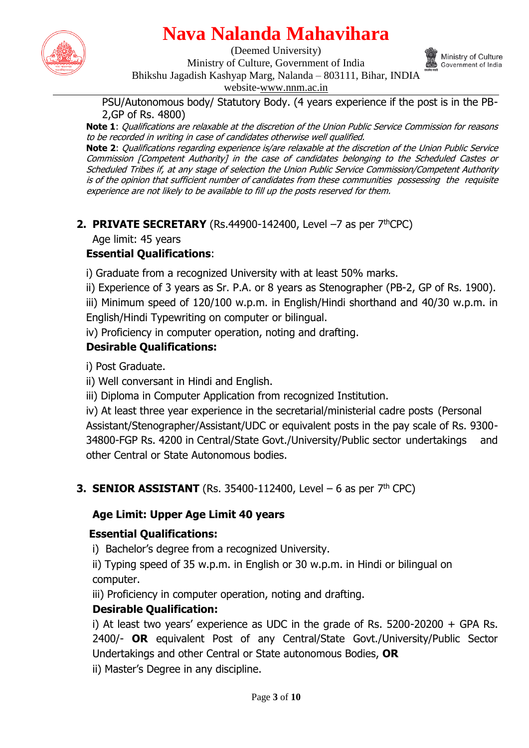

(Deemed University)



Ministry of Culture, Government of India Bhikshu Jagadish Kashyap Marg, Nalanda – 803111, Bihar, INDIA

website[-www.nnm.ac.in](http://www.nnm.ac.in/)

PSU/Autonomous body/ Statutory Body. (4 years experience if the post is in the PB-2,GP of Rs. 4800)

**Note 1**: Qualifications are relaxable at the discretion of the Union Public Service Commission for reasons to be recorded in writing in case of candidates otherwise well qualified.

**Note 2**: Qualifications regarding experience is/are relaxable at the discretion of the Union Public Service Commission [Competent Authority] in the case of candidates belonging to the Scheduled Castes or Scheduled Tribes if, at any stage of selection the Union Public Service Commission/Competent Authority is of the opinion that sufficient number of candidates from these communities possessing the requisite experience are not likely to be available to fill up the posts reserved for them.

**2. PRIVATE SECRETARY** (Rs.44900-142400, Level  $-7$  as per  $7<sup>th</sup>$ CPC)

Age limit: 45 years

### **Essential Qualifications**:

i) Graduate from a recognized University with at least 50% marks.

ii) Experience of 3 years as Sr. P.A. or 8 years as Stenographer (PB-2, GP of Rs. 1900).

iii) Minimum speed of 120/100 w.p.m. in English/Hindi shorthand and 40/30 w.p.m. in English/Hindi Typewriting on computer or bilingual.

iv) Proficiency in computer operation, noting and drafting.

### **Desirable Qualifications:**

i) Post Graduate.

ii) Well conversant in Hindi and English.

iii) Diploma in Computer Application from recognized Institution.

iv) At least three year experience in the secretarial/ministerial cadre posts (Personal Assistant/Stenographer/Assistant/UDC or equivalent posts in the pay scale of Rs. 9300- 34800-FGP Rs. 4200 in Central/State Govt./University/Public sector undertakings and other Central or State Autonomous bodies.

### **3. SENIOR ASSISTANT** (Rs. 35400-112400, Level – 6 as per  $7<sup>th</sup>$  CPC)

### **Age Limit: Upper Age Limit 40 years**

### **Essential Qualifications:**

i) Bachelor's degree from a recognized University.

ii) Typing speed of 35 w.p.m. in English or 30 w.p.m. in Hindi or bilingual on computer.

iii) Proficiency in computer operation, noting and drafting.

### **Desirable Qualification:**

i) At least two years' experience as UDC in the grade of Rs. 5200-20200 + GPA Rs. 2400/- **OR** equivalent Post of any Central/State Govt./University/Public Sector Undertakings and other Central or State autonomous Bodies, **OR**

ii) Master's Degree in any discipline.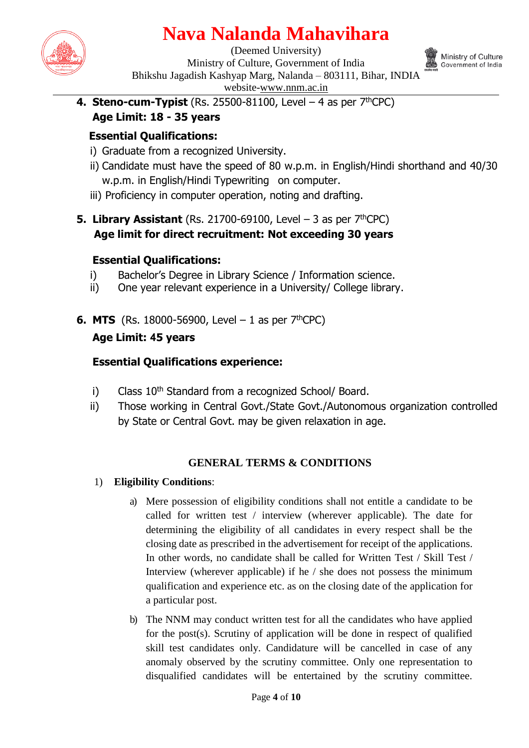

(Deemed University) Ministry of Culture, Government of India Bhikshu Jagadish Kashyap Marg, Nalanda – 803111, Bihar, INDIA website[-www.nnm.ac.in](http://www.nnm.ac.in/)



**4. Steno-cum-Typist** (Rs. 25500-81100, Level  $-$  4 as per  $7<sup>th</sup>$ CPC) **Age Limit: 18 - 35 years** 

### **Essential Qualifications:**

- i) Graduate from a recognized University.
- ii) Candidate must have the speed of 80 w.p.m. in English/Hindi shorthand and 40/30 w.p.m. in English/Hindi Typewriting on computer.
- iii) Proficiency in computer operation, noting and drafting.
- **5. Library Assistant** (Rs. 21700-69100, Level  $-$  3 as per  $7<sup>th</sup>$ CPC) **Age limit for direct recruitment: Not exceeding 30 years**

#### **Essential Qualifications:**

- i) Bachelor's Degree in Library Science / Information science.
- ii) One year relevant experience in a University/ College library.
- **6. MTS** (Rs. 18000-56900, Level 1 as per  $7^{th}$ CPC)

### **Age Limit: 45 years**

### **Essential Qualifications experience:**

- i) Class  $10<sup>th</sup>$  Standard from a recognized School/ Board.
- ii) Those working in Central Govt./State Govt./Autonomous organization controlled by State or Central Govt. may be given relaxation in age.

#### **GENERAL TERMS & CONDITIONS**

- 1) **Eligibility Conditions**:
	- a) Mere possession of eligibility conditions shall not entitle a candidate to be called for written test / interview (wherever applicable). The date for determining the eligibility of all candidates in every respect shall be the closing date as prescribed in the advertisement for receipt of the applications. In other words, no candidate shall be called for Written Test / Skill Test / Interview (wherever applicable) if he / she does not possess the minimum qualification and experience etc. as on the closing date of the application for a particular post.
	- b) The NNM may conduct written test for all the candidates who have applied for the post(s). Scrutiny of application will be done in respect of qualified skill test candidates only. Candidature will be cancelled in case of any anomaly observed by the scrutiny committee. Only one representation to disqualified candidates will be entertained by the scrutiny committee.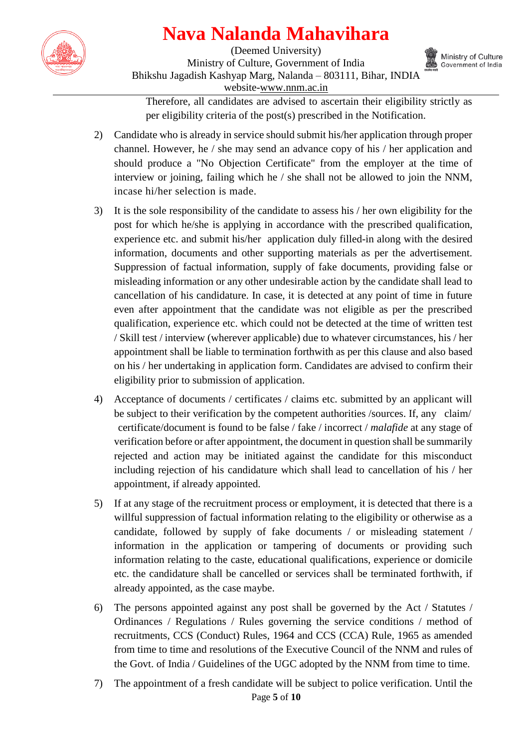

(Deemed University) Ministry of Culture, Government of India Bhikshu Jagadish Kashyap Marg, Nalanda – 803111, Bihar, INDIA website[-www.nnm.ac.in](http://www.nnm.ac.in/)



Therefore, all candidates are advised to ascertain their eligibility strictly as per eligibility criteria of the post(s) prescribed in the Notification.

- 2) Candidate who is already in service should submit his/her application through proper channel. However, he / she may send an advance copy of his / her application and should produce a "No Objection Certificate" from the employer at the time of interview or joining, failing which he / she shall not be allowed to join the NNM, incase hi/her selection is made.
- 3) It is the sole responsibility of the candidate to assess his / her own eligibility for the post for which he/she is applying in accordance with the prescribed qualification, experience etc. and submit his/her application duly filled-in along with the desired information, documents and other supporting materials as per the advertisement. Suppression of factual information, supply of fake documents, providing false or misleading information or any other undesirable action by the candidate shall lead to cancellation of his candidature. In case, it is detected at any point of time in future even after appointment that the candidate was not eligible as per the prescribed qualification, experience etc. which could not be detected at the time of written test / Skill test / interview (wherever applicable) due to whatever circumstances, his / her appointment shall be liable to termination forthwith as per this clause and also based on his / her undertaking in application form. Candidates are advised to confirm their eligibility prior to submission of application.
- 4) Acceptance of documents / certificates / claims etc. submitted by an applicant will be subject to their verification by the competent authorities /sources. If, any claim/ certificate/document is found to be false / fake / incorrect / *malafide* at any stage of verification before or after appointment, the document in question shall be summarily rejected and action may be initiated against the candidate for this misconduct including rejection of his candidature which shall lead to cancellation of his / her appointment, if already appointed.
- 5) If at any stage of the recruitment process or employment, it is detected that there is a willful suppression of factual information relating to the eligibility or otherwise as a candidate, followed by supply of fake documents / or misleading statement / information in the application or tampering of documents or providing such information relating to the caste, educational qualifications, experience or domicile etc. the candidature shall be cancelled or services shall be terminated forthwith, if already appointed, as the case maybe.
- 6) The persons appointed against any post shall be governed by the Act / Statutes / Ordinances / Regulations / Rules governing the service conditions / method of recruitments, CCS (Conduct) Rules, 1964 and CCS (CCA) Rule, 1965 as amended from time to time and resolutions of the Executive Council of the NNM and rules of the Govt. of India / Guidelines of the UGC adopted by the NNM from time to time.
- Page **5** of **10** 7) The appointment of a fresh candidate will be subject to police verification. Until the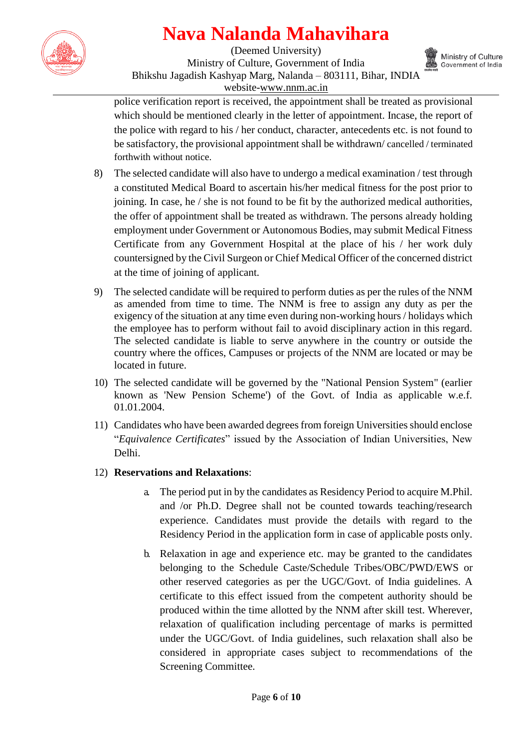

(Deemed University) Ministry of Culture, Government of India Bhikshu Jagadish Kashyap Marg, Nalanda – 803111, Bihar, INDIA website[-www.nnm.ac.in](http://www.nnm.ac.in/)



police verification report is received, the appointment shall be treated as provisional which should be mentioned clearly in the letter of appointment. Incase, the report of the police with regard to his / her conduct, character, antecedents etc. is not found to be satisfactory, the provisional appointment shall be withdrawn/ cancelled / terminated forthwith without notice.

- 8) The selected candidate will also have to undergo a medical examination / test through a constituted Medical Board to ascertain his/her medical fitness for the post prior to joining. In case, he / she is not found to be fit by the authorized medical authorities, the offer of appointment shall be treated as withdrawn. The persons already holding employment under Government or Autonomous Bodies, may submit Medical Fitness Certificate from any Government Hospital at the place of his / her work duly countersigned by the Civil Surgeon or Chief Medical Officer of the concerned district at the time of joining of applicant.
- 9) The selected candidate will be required to perform duties as per the rules of the NNM as amended from time to time. The NNM is free to assign any duty as per the exigency of the situation at any time even during non-working hours / holidays which the employee has to perform without fail to avoid disciplinary action in this regard. The selected candidate is liable to serve anywhere in the country or outside the country where the offices, Campuses or projects of the NNM are located or may be located in future.
- 10) The selected candidate will be governed by the "National Pension System" (earlier known as 'New Pension Scheme') of the Govt. of India as applicable w.e.f. 01.01.2004.
- 11) Candidates who have been awarded degrees from foreign Universities should enclose "*Equivalence Certificates*" issued by the Association of Indian Universities, New Delhi.

#### 12) **Reservations and Relaxations**:

- a. The period put in by the candidates as Residency Period to acquire M.Phil. and /or Ph.D. Degree shall not be counted towards teaching/research experience. Candidates must provide the details with regard to the Residency Period in the application form in case of applicable posts only.
- b. Relaxation in age and experience etc. may be granted to the candidates belonging to the Schedule Caste/Schedule Tribes/OBC/PWD/EWS or other reserved categories as per the UGC/Govt. of India guidelines. A certificate to this effect issued from the competent authority should be produced within the time allotted by the NNM after skill test. Wherever, relaxation of qualification including percentage of marks is permitted under the UGC/Govt. of India guidelines, such relaxation shall also be considered in appropriate cases subject to recommendations of the Screening Committee.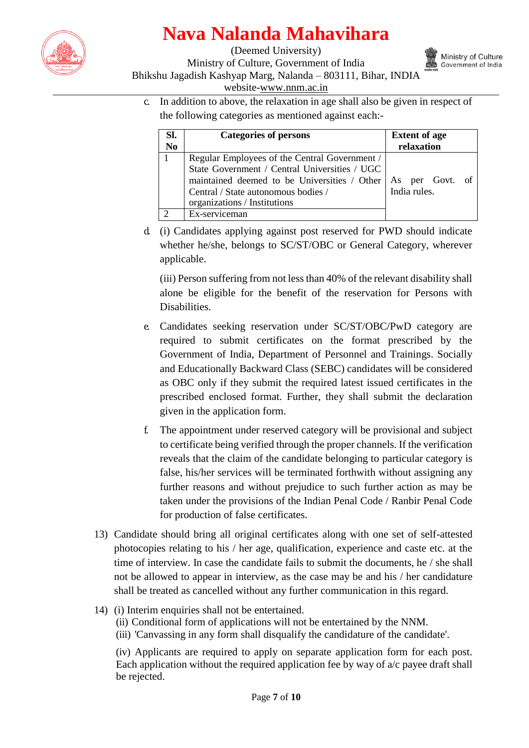

(Deemed University) Ministry of Culture, Government of India Bhikshu Jagadish Kashyap Marg, Nalanda – 803111, Bihar, INDIA website[-www.nnm.ac.in](http://www.nnm.ac.in/)



c. In addition to above, the relaxation in age shall also be given in respect of the following categories as mentioned against each:-

| Sl.<br>N <sub>0</sub> | <b>Categories of persons</b>                                                                                                                                                                                          | <b>Extent of age</b><br>relaxation |
|-----------------------|-----------------------------------------------------------------------------------------------------------------------------------------------------------------------------------------------------------------------|------------------------------------|
|                       | Regular Employees of the Central Government /<br>State Government / Central Universities / UGC<br>maintained deemed to be Universities / Other<br>Central / State autonomous bodies /<br>organizations / Institutions | As per Govt.<br>India rules.       |
|                       | Ex-serviceman                                                                                                                                                                                                         |                                    |

d. (i) Candidates applying against post reserved for PWD should indicate whether he/she, belongs to SC/ST/OBC or General Category, wherever applicable.

(iii) Person suffering from not less than 40% of the relevant disability shall alone be eligible for the benefit of the reservation for Persons with Disabilities.

- e. Candidates seeking reservation under SC/ST/OBC/PwD category are required to submit certificates on the format prescribed by the Government of India, Department of Personnel and Trainings. Socially and Educationally Backward Class (SEBC) candidates will be considered as OBC only if they submit the required latest issued certificates in the prescribed enclosed format. Further, they shall submit the declaration given in the application form.
- f. The appointment under reserved category will be provisional and subject to certificate being verified through the proper channels. If the verification reveals that the claim of the candidate belonging to particular category is false, his/her services will be terminated forthwith without assigning any further reasons and without prejudice to such further action as may be taken under the provisions of the Indian Penal Code / Ranbir Penal Code for production of false certificates.
- 13) Candidate should bring all original certificates along with one set of self-attested photocopies relating to his / her age, qualification, experience and caste etc. at the time of interview. In case the candidate fails to submit the documents, he / she shall not be allowed to appear in interview, as the case may be and his / her candidature shall be treated as cancelled without any further communication in this regard.
- 14) (i) Interim enquiries shall not be entertained.
	- (ii) Conditional form of applications will not be entertained by the NNM.
	- (iii) 'Canvassing in any form shall disqualify the candidature of the candidate'.

(iv) Applicants are required to apply on separate application form for each post. Each application without the required application fee by way of a/c payee draft shall be rejected.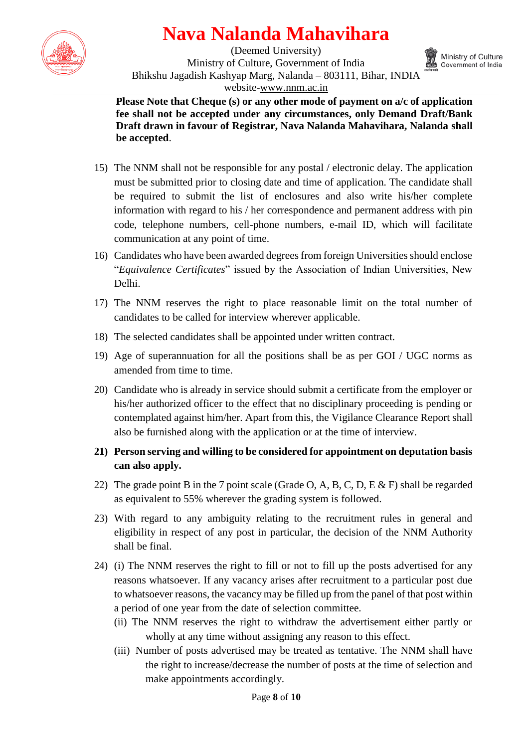

(Deemed University) Ministry of Culture, Government of India Bhikshu Jagadish Kashyap Marg, Nalanda – 803111, Bihar, INDIA website[-www.nnm.ac.in](http://www.nnm.ac.in/)



**Please Note that Cheque (s) or any other mode of payment on a/c of application fee shall not be accepted under any circumstances, only Demand Draft/Bank Draft drawn in favour of Registrar, Nava Nalanda Mahavihara, Nalanda shall be accepted**.

- 15) The NNM shall not be responsible for any postal / electronic delay. The application must be submitted prior to closing date and time of application. The candidate shall be required to submit the list of enclosures and also write his/her complete information with regard to his / her correspondence and permanent address with pin code, telephone numbers, cell-phone numbers, e-mail ID, which will facilitate communication at any point of time.
- 16) Candidates who have been awarded degrees from foreign Universities should enclose "*Equivalence Certificates*" issued by the Association of Indian Universities, New Delhi.
- 17) The NNM reserves the right to place reasonable limit on the total number of candidates to be called for interview wherever applicable.
- 18) The selected candidates shall be appointed under written contract.
- 19) Age of superannuation for all the positions shall be as per GOI / UGC norms as amended from time to time.
- 20) Candidate who is already in service should submit a certificate from the employer or his/her authorized officer to the effect that no disciplinary proceeding is pending or contemplated against him/her. Apart from this, the Vigilance Clearance Report shall also be furnished along with the application or at the time of interview.
- **21) Person serving and willing to be considered for appointment on deputation basis can also apply.**
- 22) The grade point B in the 7 point scale (Grade O, A, B, C, D, E & F) shall be regarded as equivalent to 55% wherever the grading system is followed.
- 23) With regard to any ambiguity relating to the recruitment rules in general and eligibility in respect of any post in particular, the decision of the NNM Authority shall be final.
- 24) (i) The NNM reserves the right to fill or not to fill up the posts advertised for any reasons whatsoever. If any vacancy arises after recruitment to a particular post due to whatsoever reasons, the vacancy may be filled up from the panel of that post within a period of one year from the date of selection committee.
	- (ii) The NNM reserves the right to withdraw the advertisement either partly or wholly at any time without assigning any reason to this effect.
	- (iii) Number of posts advertised may be treated as tentative. The NNM shall have the right to increase/decrease the number of posts at the time of selection and make appointments accordingly.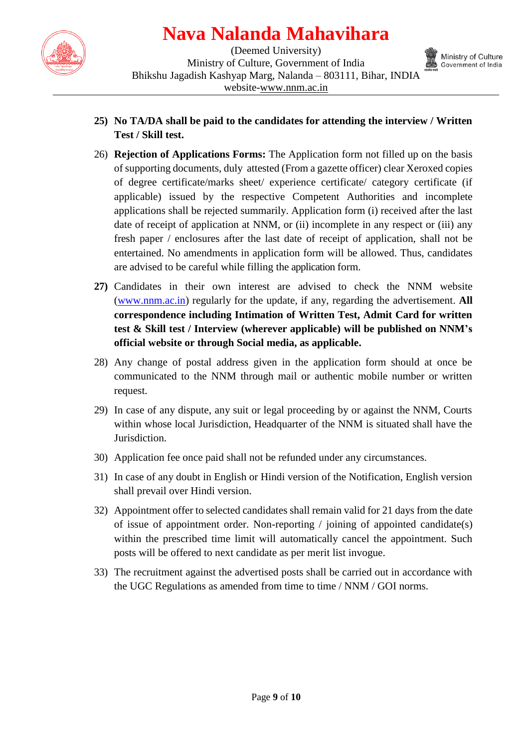

(Deemed University) Ministry of Culture, Government of India Bhikshu Jagadish Kashyap Marg, Nalanda – 803111, Bihar, INDIA website[-www.nnm.ac.in](http://www.nnm.ac.in/)



- **25) No TA/DA shall be paid to the candidates for attending the interview / Written Test / Skill test.**
- 26) **Rejection of Applications Forms:** The Application form not filled up on the basis of supporting documents, duly attested (From a gazette officer) clear Xeroxed copies of degree certificate/marks sheet/ experience certificate/ category certificate (if applicable) issued by the respective Competent Authorities and incomplete applications shall be rejected summarily. Application form (i) received after the last date of receipt of application at NNM, or (ii) incomplete in any respect or (iii) any fresh paper / enclosures after the last date of receipt of application, shall not be entertained. No amendments in application form will be allowed. Thus, candidates are advised to be careful while filling the application form.
- **27)** Candidates in their own interest are advised to check the NNM website [\(www.nnm.ac.in\)](http://www.cujammu.ac.in/) regularly for the update, if any, regarding the advertisement. **All correspondence including Intimation of Written Test, Admit Card for written test & Skill test / Interview (wherever applicable) will be published on NNM's official website or through Social media, as applicable.**
- 28) Any change of postal address given in the application form should at once be communicated to the NNM through mail or authentic mobile number or written request.
- 29) In case of any dispute, any suit or legal proceeding by or against the NNM, Courts within whose local Jurisdiction, Headquarter of the NNM is situated shall have the Jurisdiction.
- 30) Application fee once paid shall not be refunded under any circumstances.
- 31) In case of any doubt in English or Hindi version of the Notification, English version shall prevail over Hindi version.
- 32) Appointment offer to selected candidates shall remain valid for 21 days from the date of issue of appointment order. Non-reporting / joining of appointed candidate(s) within the prescribed time limit will automatically cancel the appointment. Such posts will be offered to next candidate as per merit list invogue.
- 33) The recruitment against the advertised posts shall be carried out in accordance with the UGC Regulations as amended from time to time / NNM / GOI norms.